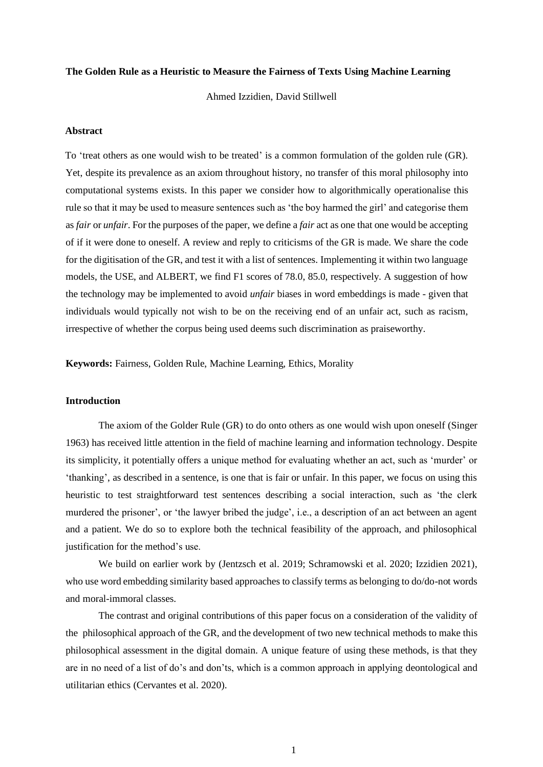#### **The Golden Rule as a Heuristic to Measure the Fairness of Texts Using Machine Learning**

Ahmed Izzidien, David Stillwell

### **Abstract**

To 'treat others as one would wish to be treated' is a common formulation of the golden rule (GR). Yet, despite its prevalence as an axiom throughout history, no transfer of this moral philosophy into computational systems exists. In this paper we consider how to algorithmically operationalise this rule so that it may be used to measure sentences such as 'the boy harmed the girl' and categorise them as *fair* or *unfair*. For the purposes of the paper, we define a *fair* act as one that one would be accepting of if it were done to oneself. A review and reply to criticisms of the GR is made. We share the code for the digitisation of the GR, and test it with a list of sentences. Implementing it within two language models, the USE, and ALBERT, we find F1 scores of 78.0, 85.0, respectively. A suggestion of how the technology may be implemented to avoid *unfair* biases in word embeddings is made - given that individuals would typically not wish to be on the receiving end of an unfair act, such as racism, irrespective of whether the corpus being used deems such discrimination as praiseworthy.

**Keywords:** Fairness, Golden Rule, Machine Learning, Ethics, Morality

# **Introduction**

The axiom of the Golder Rule (GR) to do onto others as one would wish upon oneself (Singer 1963) has received little attention in the field of machine learning and information technology. Despite its simplicity, it potentially offers a unique method for evaluating whether an act, such as 'murder' or 'thanking', as described in a sentence, is one that is fair or unfair. In this paper, we focus on using this heuristic to test straightforward test sentences describing a social interaction, such as 'the clerk murdered the prisoner', or 'the lawyer bribed the judge', i.e., a description of an act between an agent and a patient. We do so to explore both the technical feasibility of the approach, and philosophical justification for the method's use.

We build on earlier work by (Jentzsch et al. 2019; Schramowski et al. 2020; Izzidien 2021), who use word embedding similarity based approaches to classify terms as belonging to do/do-not words and moral-immoral classes.

The contrast and original contributions of this paper focus on a consideration of the validity of the philosophical approach of the GR, and the development of two new technical methods to make this philosophical assessment in the digital domain. A unique feature of using these methods, is that they are in no need of a list of do's and don'ts, which is a common approach in applying deontological and utilitarian ethics (Cervantes et al. 2020).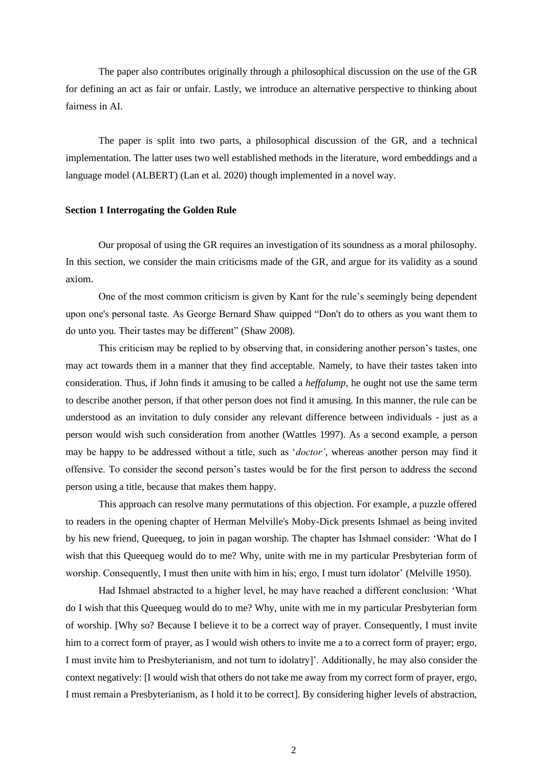The paper also contributes originally through a philosophical discussion on the use of the GR for defining an act as fair or unfair. Lastly, we introduce an alternative perspective to thinking about fairness in AI.

The paper is split into two parts, a philosophical discussion of the GR, and a technical implementation. The latter uses two well established methods in the literature, word embeddings and a language model (ALBERT) (Lan et al. 2020) though implemented in a novel way.

#### **Section 1 Interrogating the Golden Rule**

Our proposal of using the GR requires an investigation of its soundness as a moral philosophy. In this section, we consider the main criticisms made of the GR, and argue for its validity as a sound axiom.

One of the most common criticism is given by Kant for the rule's seemingly being dependent upon one's personal taste. As George Bernard Shaw quipped "Don't do to others as you want them to do unto you. Their tastes may be different" (Shaw 2008).

This criticism may be replied to by observing that, in considering another person's tastes, one may act towards them in a manner that they find acceptable. Namely, to have their tastes taken into consideration. Thus, if John finds it amusing to be called a *heffalump*, he ought not use the same term to describe another person, if that other person does not find it amusing. In this manner, the rule can be understood as an invitation to duly consider any relevant difference between individuals - just as a person would wish such consideration from another (Wattles 1997). As a second example, a person may be happy to be addressed without a title, such as '*doctor'*, whereas another person may find it offensive. To consider the second person's tastes would be for the first person to address the second person using a title, because that makes them happy.

This approach can resolve many permutations of this objection. For example, a puzzle offered to readers in the opening chapter of Herman Melville's Moby-Dick presents Ishmael as being invited by his new friend, Queequeg, to join in pagan worship. The chapter has Ishmael consider: 'What do I wish that this Queequeg would do to me? Why, unite with me in my particular Presbyterian form of worship. Consequently, I must then unite with him in his; ergo, I must turn idolator' (Melville 1950).

Had Ishmael abstracted to a higher level, he may have reached a different conclusion: 'What do I wish that this Queequeg would do to me? Why, unite with me in my particular Presbyterian form of worship. [Why so? Because I believe it to be a correct way of prayer. Consequently, I must invite him to a correct form of prayer, as I would wish others to invite me a to a correct form of prayer; ergo, I must invite him to Presbyterianism, and not turn to idolatry]'. Additionally, he may also consider the context negatively: [I would wish that others do not take me away from my correct form of prayer, ergo, I must remain a Presbyterianism, as I hold it to be correct]. By considering higher levels of abstraction,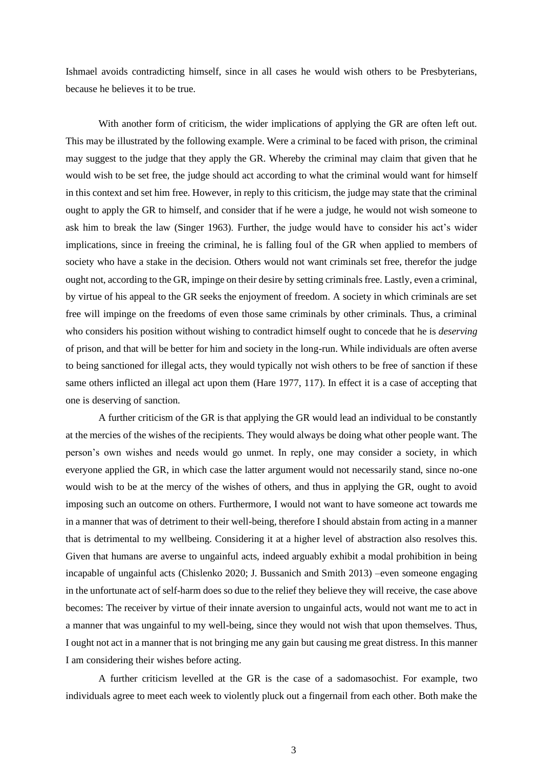Ishmael avoids contradicting himself, since in all cases he would wish others to be Presbyterians, because he believes it to be true.

With another form of criticism, the wider implications of applying the GR are often left out. This may be illustrated by the following example. Were a criminal to be faced with prison, the criminal may suggest to the judge that they apply the GR. Whereby the criminal may claim that given that he would wish to be set free, the judge should act according to what the criminal would want for himself in this context and set him free. However, in reply to this criticism, the judge may state that the criminal ought to apply the GR to himself, and consider that if he were a judge, he would not wish someone to ask him to break the law (Singer 1963). Further, the judge would have to consider his act's wider implications, since in freeing the criminal, he is falling foul of the GR when applied to members of society who have a stake in the decision. Others would not want criminals set free, therefor the judge ought not, according to the GR, impinge on their desire by setting criminals free. Lastly, even a criminal, by virtue of his appeal to the GR seeks the enjoyment of freedom. A society in which criminals are set free will impinge on the freedoms of even those same criminals by other criminals. Thus, a criminal who considers his position without wishing to contradict himself ought to concede that he is *deserving* of prison, and that will be better for him and society in the long-run. While individuals are often averse to being sanctioned for illegal acts, they would typically not wish others to be free of sanction if these same others inflicted an illegal act upon them (Hare 1977, 117). In effect it is a case of accepting that one is deserving of sanction.

A further criticism of the GR is that applying the GR would lead an individual to be constantly at the mercies of the wishes of the recipients. They would always be doing what other people want. The person's own wishes and needs would go unmet. In reply, one may consider a society, in which everyone applied the GR, in which case the latter argument would not necessarily stand, since no-one would wish to be at the mercy of the wishes of others, and thus in applying the GR, ought to avoid imposing such an outcome on others. Furthermore, I would not want to have someone act towards me in a manner that was of detriment to their well-being, therefore I should abstain from acting in a manner that is detrimental to my wellbeing. Considering it at a higher level of abstraction also resolves this. Given that humans are averse to ungainful acts, indeed arguably exhibit a modal prohibition in being incapable of ungainful acts (Chislenko 2020; J. Bussanich and Smith 2013) –even someone engaging in the unfortunate act of self-harm does so due to the relief they believe they will receive, the case above becomes: The receiver by virtue of their innate aversion to ungainful acts, would not want me to act in a manner that was ungainful to my well-being, since they would not wish that upon themselves. Thus, I ought not act in a manner that is not bringing me any gain but causing me great distress. In this manner I am considering their wishes before acting.

A further criticism levelled at the GR is the case of a sadomasochist. For example, two individuals agree to meet each week to violently pluck out a fingernail from each other. Both make the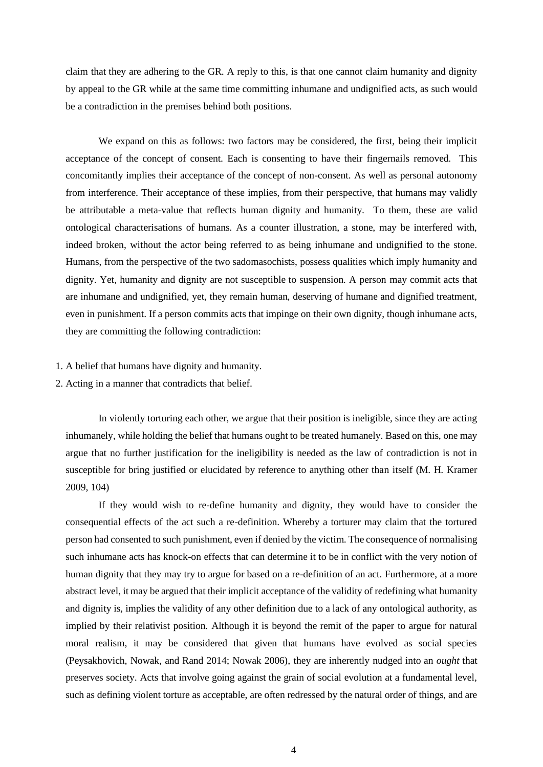claim that they are adhering to the GR. A reply to this, is that one cannot claim humanity and dignity by appeal to the GR while at the same time committing inhumane and undignified acts, as such would be a contradiction in the premises behind both positions.

We expand on this as follows: two factors may be considered, the first, being their implicit acceptance of the concept of consent. Each is consenting to have their fingernails removed. This concomitantly implies their acceptance of the concept of non-consent. As well as personal autonomy from interference. Their acceptance of these implies, from their perspective, that humans may validly be attributable a meta-value that reflects human dignity and humanity. To them, these are valid ontological characterisations of humans. As a counter illustration, a stone, may be interfered with, indeed broken, without the actor being referred to as being inhumane and undignified to the stone. Humans, from the perspective of the two sadomasochists, possess qualities which imply humanity and dignity. Yet, humanity and dignity are not susceptible to suspension. A person may commit acts that are inhumane and undignified, yet, they remain human, deserving of humane and dignified treatment, even in punishment. If a person commits acts that impinge on their own dignity, though inhumane acts, they are committing the following contradiction:

#### 1. A belief that humans have dignity and humanity.

2. Acting in a manner that contradicts that belief.

In violently torturing each other, we argue that their position is ineligible, since they are acting inhumanely, while holding the belief that humans ought to be treated humanely. Based on this, one may argue that no further justification for the ineligibility is needed as the law of contradiction is not in susceptible for bring justified or elucidated by reference to anything other than itself (M. H. Kramer 2009, 104)

If they would wish to re-define humanity and dignity, they would have to consider the consequential effects of the act such a re-definition. Whereby a torturer may claim that the tortured person had consented to such punishment, even if denied by the victim. The consequence of normalising such inhumane acts has knock-on effects that can determine it to be in conflict with the very notion of human dignity that they may try to argue for based on a re-definition of an act. Furthermore, at a more abstract level, it may be argued that their implicit acceptance of the validity of redefining what humanity and dignity is, implies the validity of any other definition due to a lack of any ontological authority, as implied by their relativist position. Although it is beyond the remit of the paper to argue for natural moral realism, it may be considered that given that humans have evolved as social species (Peysakhovich, Nowak, and Rand 2014; Nowak 2006), they are inherently nudged into an *ought* that preserves society. Acts that involve going against the grain of social evolution at a fundamental level, such as defining violent torture as acceptable, are often redressed by the natural order of things, and are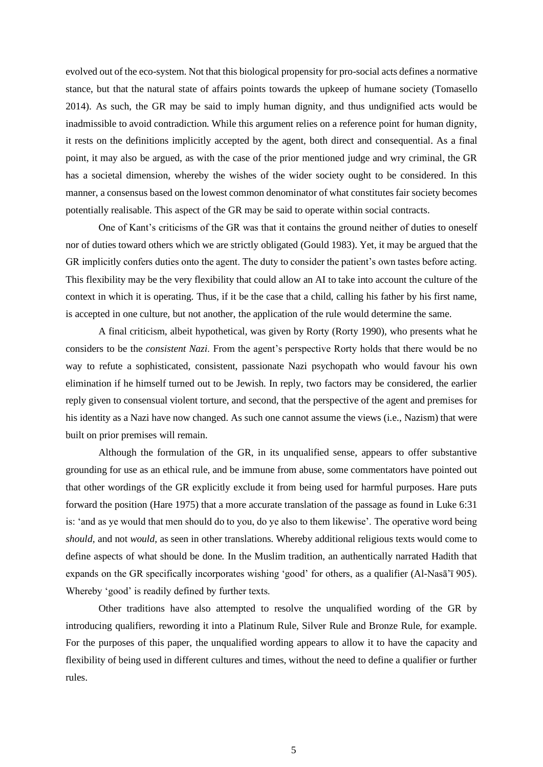evolved out of the eco-system. Not that this biological propensity for pro-social acts defines a normative stance, but that the natural state of affairs points towards the upkeep of humane society (Tomasello 2014). As such, the GR may be said to imply human dignity, and thus undignified acts would be inadmissible to avoid contradiction. While this argument relies on a reference point for human dignity, it rests on the definitions implicitly accepted by the agent, both direct and consequential. As a final point, it may also be argued, as with the case of the prior mentioned judge and wry criminal, the GR has a societal dimension, whereby the wishes of the wider society ought to be considered. In this manner, a consensus based on the lowest common denominator of what constitutes fair society becomes potentially realisable. This aspect of the GR may be said to operate within social contracts.

One of Kant's criticisms of the GR was that it contains the ground neither of duties to oneself nor of duties toward others which we are strictly obligated (Gould 1983). Yet, it may be argued that the GR implicitly confers duties onto the agent. The duty to consider the patient's own tastes before acting. This flexibility may be the very flexibility that could allow an AI to take into account the culture of the context in which it is operating. Thus, if it be the case that a child, calling his father by his first name, is accepted in one culture, but not another, the application of the rule would determine the same.

A final criticism, albeit hypothetical, was given by Rorty (Rorty 1990), who presents what he considers to be the *consistent Nazi*. From the agent's perspective Rorty holds that there would be no way to refute a sophisticated, consistent, passionate Nazi psychopath who would favour his own elimination if he himself turned out to be Jewish. In reply, two factors may be considered, the earlier reply given to consensual violent torture, and second, that the perspective of the agent and premises for his identity as a Nazi have now changed. As such one cannot assume the views (i.e., Nazism) that were built on prior premises will remain.

Although the formulation of the GR, in its unqualified sense, appears to offer substantive grounding for use as an ethical rule, and be immune from abuse, some commentators have pointed out that other wordings of the GR explicitly exclude it from being used for harmful purposes. Hare puts forward the position (Hare 1975) that a more accurate translation of the passage as found in Luke 6:31 is: 'and as ye would that men should do to you, do ye also to them likewise'. The operative word being *should,* and not *would,* as seen in other translations. Whereby additional religious texts would come to define aspects of what should be done. In the Muslim tradition, an authentically narrated Hadith that expands on the GR specifically incorporates wishing 'good' for others, as a qualifier (Al-Nasā'ī 905). Whereby 'good' is readily defined by further texts.

Other traditions have also attempted to resolve the unqualified wording of the GR by introducing qualifiers, rewording it into a Platinum Rule, Silver Rule and Bronze Rule, for example. For the purposes of this paper, the unqualified wording appears to allow it to have the capacity and flexibility of being used in different cultures and times, without the need to define a qualifier or further rules.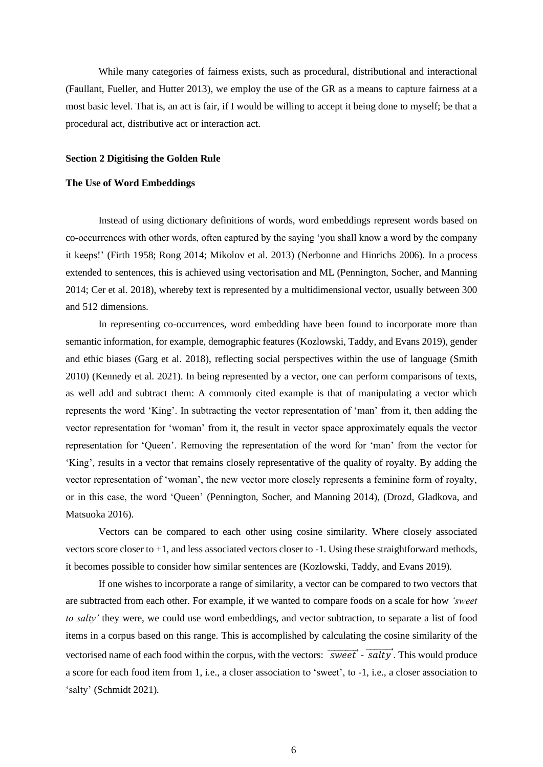While many categories of fairness exists, such as procedural, distributional and interactional (Faullant, Fueller, and Hutter 2013), we employ the use of the GR as a means to capture fairness at a most basic level. That is, an act is fair, if I would be willing to accept it being done to myself; be that a procedural act, distributive act or interaction act.

#### **Section 2 Digitising the Golden Rule**

# **The Use of Word Embeddings**

Instead of using dictionary definitions of words, word embeddings represent words based on co-occurrences with other words, often captured by the saying 'you shall know a word by the company it keeps!' (Firth 1958; Rong 2014; Mikolov et al. 2013) (Nerbonne and Hinrichs 2006). In a process extended to sentences, this is achieved using vectorisation and ML (Pennington, Socher, and Manning 2014; Cer et al. 2018), whereby text is represented by a multidimensional vector, usually between 300 and 512 dimensions.

In representing co-occurrences, word embedding have been found to incorporate more than semantic information, for example, demographic features (Kozlowski, Taddy, and Evans 2019), gender and ethic biases (Garg et al. 2018), reflecting social perspectives within the use of language (Smith 2010) (Kennedy et al. 2021). In being represented by a vector, one can perform comparisons of texts, as well add and subtract them: A commonly cited example is that of manipulating a vector which represents the word 'King'. In subtracting the vector representation of 'man' from it, then adding the vector representation for 'woman' from it, the result in vector space approximately equals the vector representation for 'Queen'. Removing the representation of the word for 'man' from the vector for 'King', results in a vector that remains closely representative of the quality of royalty. By adding the vector representation of 'woman', the new vector more closely represents a feminine form of royalty, or in this case, the word 'Queen' (Pennington, Socher, and Manning 2014), (Drozd, Gladkova, and Matsuoka 2016).

Vectors can be compared to each other using cosine similarity. Where closely associated vectors score closer to +1, and less associated vectors closer to -1. Using these straightforward methods, it becomes possible to consider how similar sentences are (Kozlowski, Taddy, and Evans 2019).

If one wishes to incorporate a range of similarity, a vector can be compared to two vectors that are subtracted from each other. For example, if we wanted to compare foods on a scale for how *'sweet to salty'* they were, we could use word embeddings, and vector subtraction, to separate a list of food items in a corpus based on this range. This is accomplished by calculating the cosine similarity of the vectorised name of each food within the corpus, with the vectors:  $\overrightarrow{sweet}$  -  $\overrightarrow{salty}$ . This would produce a score for each food item from 1, i.e., a closer association to 'sweet', to -1, i.e., a closer association to 'salty' (Schmidt 2021).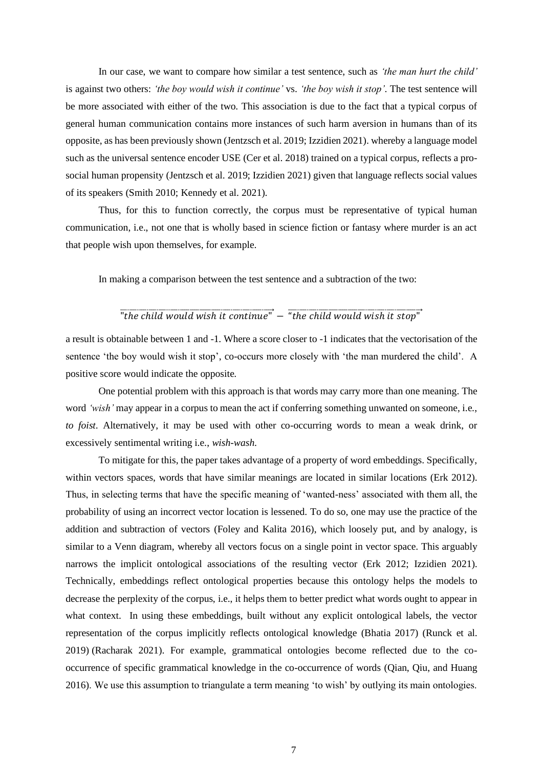In our case, we want to compare how similar a test sentence, such as *'the man hurt the child'* is against two others: *'the boy would wish it continue'* vs. *'the boy wish it stop'*. The test sentence will be more associated with either of the two. This association is due to the fact that a typical corpus of general human communication contains more instances of such harm aversion in humans than of its opposite, as has been previously shown (Jentzsch et al. 2019; Izzidien 2021). whereby a language model such as the universal sentence encoder USE (Cer et al. 2018) trained on a typical corpus, reflects a prosocial human propensity (Jentzsch et al. 2019; Izzidien 2021) given that language reflects social values of its speakers (Smith 2010; Kennedy et al. 2021).

Thus, for this to function correctly, the corpus must be representative of typical human communication, i.e., not one that is wholly based in science fiction or fantasy where murder is an act that people wish upon themselves, for example.

In making a comparison between the test sentence and a subtraction of the two:

# $\overline{\text{#}$  "the child would wish it stop

a result is obtainable between 1 and -1. Where a score closer to -1 indicates that the vectorisation of the sentence 'the boy would wish it stop', co-occurs more closely with 'the man murdered the child'. A positive score would indicate the opposite.

One potential problem with this approach is that words may carry more than one meaning. The word *'wish'* may appear in a corpus to mean the act if conferring something unwanted on someone, i.e., *to foist*. Alternatively, it may be used with other co-occurring words to mean a weak drink, or excessively sentimental writing i.e., *wish-wash*.

To mitigate for this, the paper takes advantage of a property of word embeddings. Specifically, within vectors spaces, words that have similar meanings are located in similar locations (Erk 2012). Thus, in selecting terms that have the specific meaning of 'wanted-ness' associated with them all, the probability of using an incorrect vector location is lessened. To do so, one may use the practice of the addition and subtraction of vectors (Foley and Kalita 2016), which loosely put, and by analogy, is similar to a Venn diagram, whereby all vectors focus on a single point in vector space. This arguably narrows the implicit ontological associations of the resulting vector (Erk 2012; Izzidien 2021). Technically, embeddings reflect ontological properties because this ontology helps the models to decrease the perplexity of the corpus, i.e., it helps them to better predict what words ought to appear in what context. In using these embeddings, built without any explicit ontological labels, the vector representation of the corpus implicitly reflects ontological knowledge (Bhatia 2017) (Runck et al. 2019) (Racharak 2021). For example, grammatical ontologies become reflected due to the cooccurrence of specific grammatical knowledge in the co-occurrence of words (Qian, Qiu, and Huang 2016). We use this assumption to triangulate a term meaning 'to wish' by outlying its main ontologies.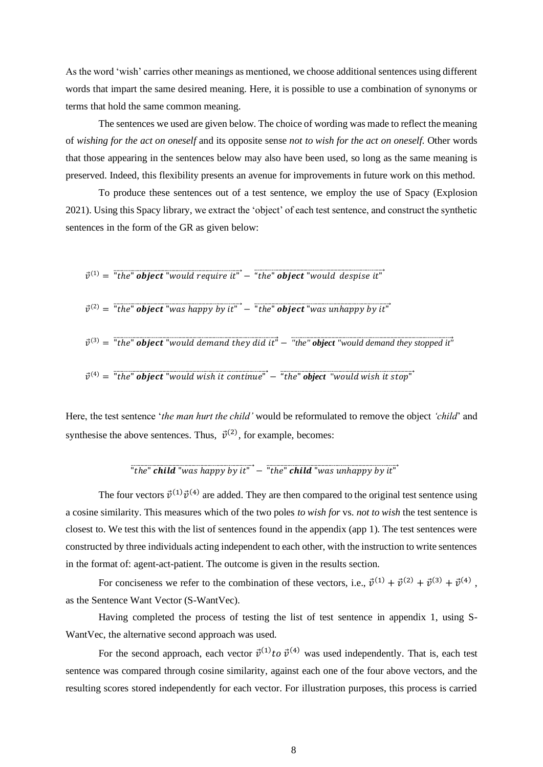As the word 'wish' carries other meanings as mentioned, we choose additional sentences using different words that impart the same desired meaning. Here, it is possible to use a combination of synonyms or terms that hold the same common meaning.

The sentences we used are given below. The choice of wording was made to reflect the meaning of *wishing for the act on oneself* and its opposite sense *not to wish for the act on oneself*. Other words that those appearing in the sentences below may also have been used, so long as the same meaning is preserved. Indeed, this flexibility presents an avenue for improvements in future work on this method.

To produce these sentences out of a test sentence, we employ the use of Spacy (Explosion 2021). Using this Spacy library, we extract the 'object' of each test sentence, and construct the synthetic sentences in the form of the GR as given below:

$$
\vec{v}^{(1)} = \text{``the'' object''} would require it'' - \text{``the'' object''} would despite it''
$$

$$
\vec{v}^{(2)} = \sqrt{\text{the}^{\text{v}} \text{object}} \sqrt{\text{was} \text{ happy}} \text{by } \text{it}^{\text{v}} - \sqrt{\text{the}^{\text{v}} \text{object}} \sqrt{\text{was} \text{unhappy}} \text{by } \text{it}^{\text{v}}
$$

$$
\vec{v}^{(3)} =
$$
 "the" **object** "would demand they did it" – "the" **object** "would demand they stopped it"

 $\vec{v}$ 

Here, the test sentence '*the man hurt the child'* would be reformulated to remove the object *'child*' and synthesise the above sentences. Thus,  $\vec{v}^{(2)}$ , for example, becomes:

"the "rhid "was unhappy by it

The four vectors  $\vec{v}^{(1)}\vec{v}^{(4)}$  are added. They are then compared to the original test sentence using a cosine similarity. This measures which of the two poles *to wish for* vs. *not to wish* the test sentence is closest to. We test this with the list of sentences found in the appendix (app 1). The test sentences were constructed by three individuals acting independent to each other, with the instruction to write sentences in the format of: agent-act-patient. The outcome is given in the results section.

For conciseness we refer to the combination of these vectors, i.e.,  $\vec{v}^{(1)} + \vec{v}^{(2)} + \vec{v}^{(3)} + \vec{v}^{(4)}$ , as the Sentence Want Vector (S-WantVec).

Having completed the process of testing the list of test sentence in appendix 1, using S-WantVec, the alternative second approach was used.

For the second approach, each vector  $\vec{v}^{(1)}$  to  $\vec{v}^{(4)}$  was used independently. That is, each test sentence was compared through cosine similarity, against each one of the four above vectors, and the resulting scores stored independently for each vector. For illustration purposes, this process is carried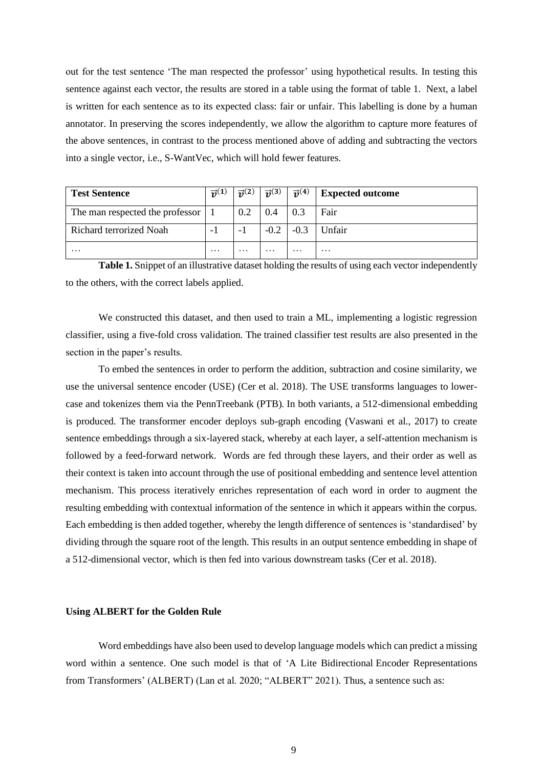out for the test sentence 'The man respected the professor' using hypothetical results. In testing this sentence against each vector, the results are stored in a table using the format of table 1. Next, a label is written for each sentence as to its expected class: fair or unfair. This labelling is done by a human annotator. In preserving the scores independently, we allow the algorithm to capture more features of the above sentences, in contrast to the process mentioned above of adding and subtracting the vectors into a single vector, i.e., S-WantVec, which will hold fewer features.

| <b>Test Sentence</b>            | $\vec{v}$ <sup>(1)</sup> | $\vec{v}^{(2)}$ | $\vec{v}^{(3)}$ | $\vec{v}^{(4)}$ | <b>Expected outcome</b> |
|---------------------------------|--------------------------|-----------------|-----------------|-----------------|-------------------------|
| The man respected the professor |                          | 0.2             | 0.4             | 0.3             | Fair                    |
| Richard terrorized Noah         | - 1                      | - 1             | $-0.2$          | $-0.3$          | Unfair                  |
| $\cdots$                        | $\cdots$                 | $\cdots$        | $\cdots$        | $\cdots$        | $\cdots$                |

**Table 1.** Snippet of an illustrative dataset holding the results of using each vector independently to the others, with the correct labels applied.

We constructed this dataset, and then used to train a ML, implementing a logistic regression classifier, using a five-fold cross validation. The trained classifier test results are also presented in the section in the paper's results.

To embed the sentences in order to perform the addition, subtraction and cosine similarity, we use the universal sentence encoder (USE) (Cer et al. 2018). The USE transforms languages to lowercase and tokenizes them via the PennTreebank (PTB). In both variants, a 512-dimensional embedding is produced. The transformer encoder deploys sub-graph encoding (Vaswani et al., 2017) to create sentence embeddings through a six-layered stack, whereby at each layer, a self-attention mechanism is followed by a feed-forward network. Words are fed through these layers, and their order as well as their context is taken into account through the use of positional embedding and sentence level attention mechanism. This process iteratively enriches representation of each word in order to augment the resulting embedding with contextual information of the sentence in which it appears within the corpus. Each embedding is then added together, whereby the length difference of sentences is 'standardised' by dividing through the square root of the length. This results in an output sentence embedding in shape of a 512-dimensional vector, which is then fed into various downstream tasks (Cer et al. 2018).

#### **Using ALBERT for the Golden Rule**

Word embeddings have also been used to develop language models which can predict a missing word within a sentence. One such model is that of 'A Lite Bidirectional Encoder Representations from Transformers' (ALBERT) (Lan et al. 2020; "ALBERT" 2021). Thus, a sentence such as: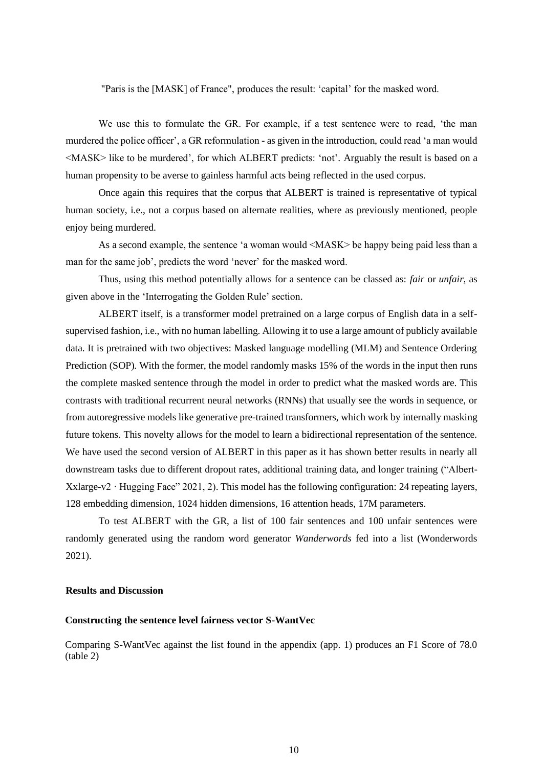"Paris is the [MASK] of France", produces the result: 'capital' for the masked word.

We use this to formulate the GR. For example, if a test sentence were to read, 'the man murdered the police officer', a GR reformulation - as given in the introduction, could read 'a man would <MASK> like to be murdered', for which ALBERT predicts: 'not'. Arguably the result is based on a human propensity to be averse to gainless harmful acts being reflected in the used corpus.

Once again this requires that the corpus that ALBERT is trained is representative of typical human society, i.e., not a corpus based on alternate realities, where as previously mentioned, people enjoy being murdered.

As a second example, the sentence 'a woman would <MASK> be happy being paid less than a man for the same job', predicts the word 'never' for the masked word.

Thus, using this method potentially allows for a sentence can be classed as: *fair* or *unfair*, as given above in the 'Interrogating the Golden Rule' section.

ALBERT itself, is a transformer model pretrained on a large corpus of English data in a selfsupervised fashion, i.e., with no human labelling. Allowing it to use a large amount of publicly available data. It is pretrained with two objectives: Masked language modelling (MLM) and Sentence Ordering Prediction (SOP). With the former, the model randomly masks 15% of the words in the input then runs the complete masked sentence through the model in order to predict what the masked words are. This contrasts with traditional recurrent neural networks (RNNs) that usually see the words in sequence, or from autoregressive models like generative pre-trained transformers, which work by internally masking future tokens. This novelty allows for the model to learn a bidirectional representation of the sentence. We have used the second version of ALBERT in this paper as it has shown better results in nearly all downstream tasks due to different dropout rates, additional training data, and longer training ("Albert-Xxlarge-v2 · Hugging Face" 2021, 2). This model has the following configuration: 24 repeating layers, 128 embedding dimension, 1024 hidden dimensions, 16 attention heads, 17M parameters.

To test ALBERT with the GR, a list of 100 fair sentences and 100 unfair sentences were randomly generated using the random word generator *Wanderwords* fed into a list (Wonderwords 2021).

### **Results and Discussion**

# **Constructing the sentence level fairness vector S-WantVec**

Comparing S-WantVec against the list found in the appendix (app. 1) produces an F1 Score of 78.0 (table 2)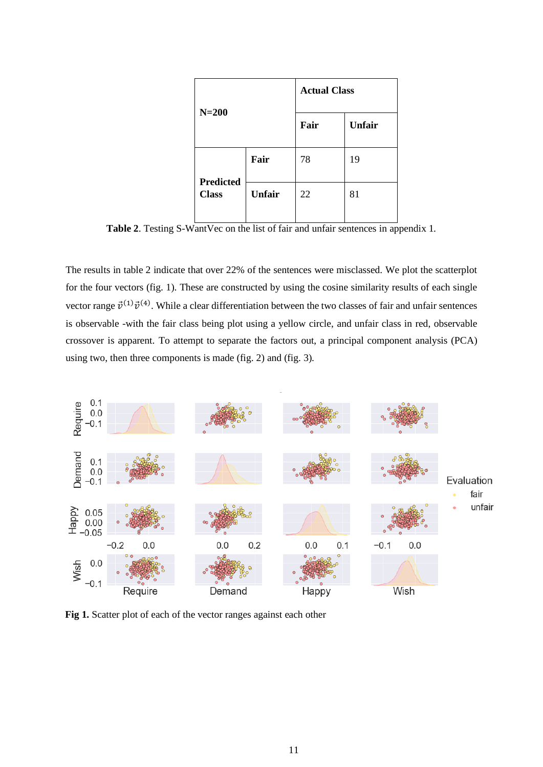|              |                  |               | <b>Actual Class</b> |               |
|--------------|------------------|---------------|---------------------|---------------|
| $N=200$      |                  |               | Fair                | <b>Unfair</b> |
|              | <b>Predicted</b> | Fair          | 78                  | 19            |
| <b>Class</b> |                  | <b>Unfair</b> | 22                  | 81            |

**Table 2**. Testing S-WantVec on the list of fair and unfair sentences in appendix 1.

The results in table 2 indicate that over 22% of the sentences were misclassed. We plot the scatterplot for the four vectors (fig. 1). These are constructed by using the cosine similarity results of each single vector range  $\vec{v}^{(1)}\vec{v}^{(4)}$ . While a clear differentiation between the two classes of fair and unfair sentences is observable -with the fair class being plot using a yellow circle, and unfair class in red, observable crossover is apparent. To attempt to separate the factors out, a principal component analysis (PCA) using two, then three components is made (fig. 2) and (fig. 3).



**Fig 1.** Scatter plot of each of the vector ranges against each other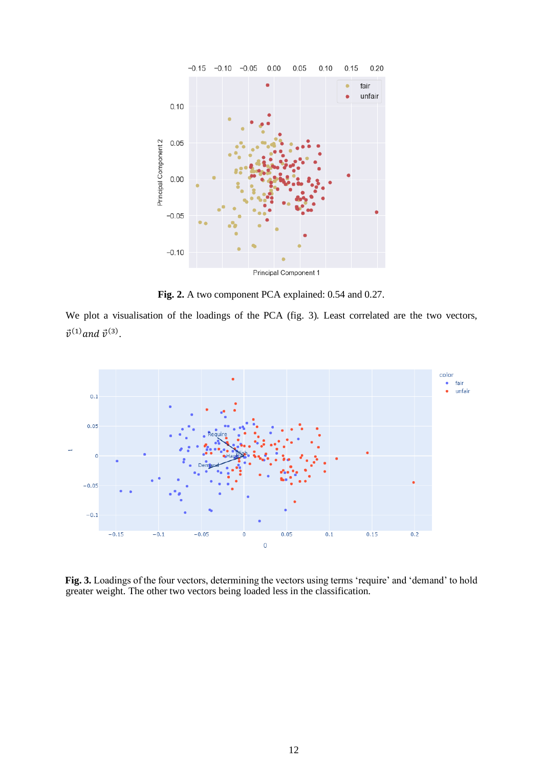

**Fig. 2.** A two component PCA explained: 0.54 and 0.27.

We plot a visualisation of the loadings of the PCA (fig. 3). Least correlated are the two vectors,  $\vec{v}^{(1)}$  and  $\vec{v}^{(3)}$ .



**Fig. 3.** Loadings of the four vectors, determining the vectors using terms 'require' and 'demand' to hold greater weight. The other two vectors being loaded less in the classification.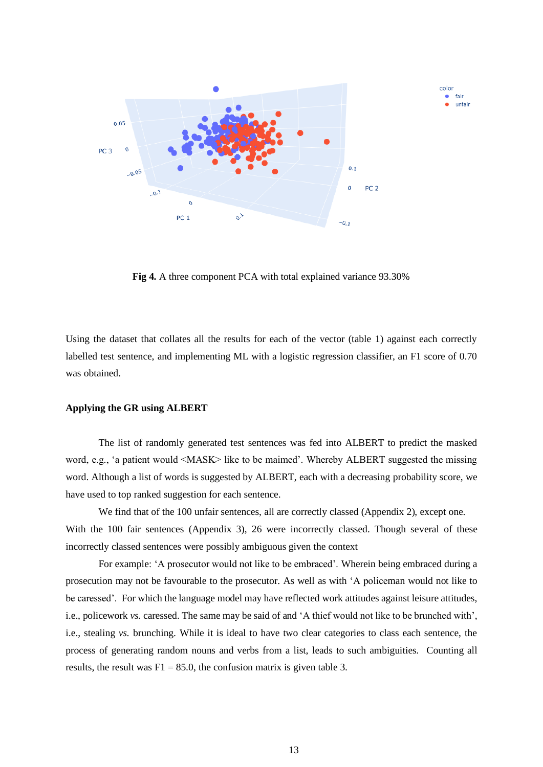

**Fig 4.** A three component PCA with total explained variance 93.30%

Using the dataset that collates all the results for each of the vector (table 1) against each correctly labelled test sentence, and implementing ML with a logistic regression classifier, an F1 score of 0.70 was obtained.

# **Applying the GR using ALBERT**

The list of randomly generated test sentences was fed into ALBERT to predict the masked word, e.g., 'a patient would <MASK> like to be maimed'. Whereby ALBERT suggested the missing word. Although a list of words is suggested by ALBERT, each with a decreasing probability score, we have used to top ranked suggestion for each sentence.

We find that of the 100 unfair sentences, all are correctly classed (Appendix 2), except one. With the 100 fair sentences (Appendix 3), 26 were incorrectly classed. Though several of these incorrectly classed sentences were possibly ambiguous given the context

For example: 'A prosecutor would not like to be embraced'. Wherein being embraced during a prosecution may not be favourable to the prosecutor. As well as with 'A policeman would not like to be caressed'. For which the language model may have reflected work attitudes against leisure attitudes, i.e., policework *vs.* caressed. The same may be said of and 'A thief would not like to be brunched with', i.e., stealing *vs.* brunching. While it is ideal to have two clear categories to class each sentence, the process of generating random nouns and verbs from a list, leads to such ambiguities. Counting all results, the result was  $F1 = 85.0$ , the confusion matrix is given table 3.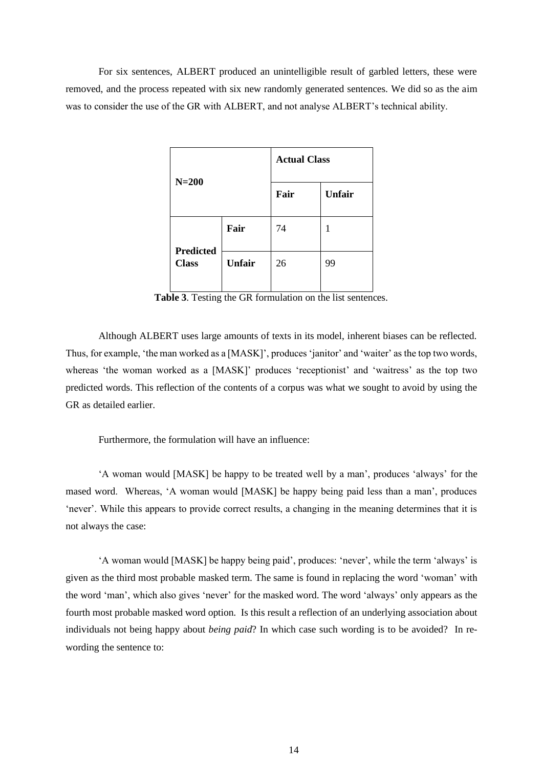For six sentences, ALBERT produced an unintelligible result of garbled letters, these were removed, and the process repeated with six new randomly generated sentences. We did so as the aim was to consider the use of the GR with ALBERT, and not analyse ALBERT's technical ability.

|                  |               | <b>Actual Class</b> |               |
|------------------|---------------|---------------------|---------------|
| $N=200$          |               | Fair                | <b>Unfair</b> |
| <b>Predicted</b> | Fair          | 74                  | 1             |
| <b>Class</b>     | <b>Unfair</b> | 26                  | 99            |

**Table 3**. Testing the GR formulation on the list sentences.

Although ALBERT uses large amounts of texts in its model, inherent biases can be reflected. Thus, for example, 'the man worked as a [MASK]', produces 'janitor' and 'waiter' as the top two words, whereas 'the woman worked as a [MASK]' produces 'receptionist' and 'waitress' as the top two predicted words. This reflection of the contents of a corpus was what we sought to avoid by using the GR as detailed earlier.

Furthermore, the formulation will have an influence:

'A woman would [MASK] be happy to be treated well by a man', produces 'always' for the mased word. Whereas, 'A woman would [MASK] be happy being paid less than a man', produces 'never'. While this appears to provide correct results, a changing in the meaning determines that it is not always the case:

'A woman would [MASK] be happy being paid', produces: 'never', while the term 'always' is given as the third most probable masked term. The same is found in replacing the word 'woman' with the word 'man', which also gives 'never' for the masked word. The word 'always' only appears as the fourth most probable masked word option. Is this result a reflection of an underlying association about individuals not being happy about *being paid*? In which case such wording is to be avoided? In rewording the sentence to: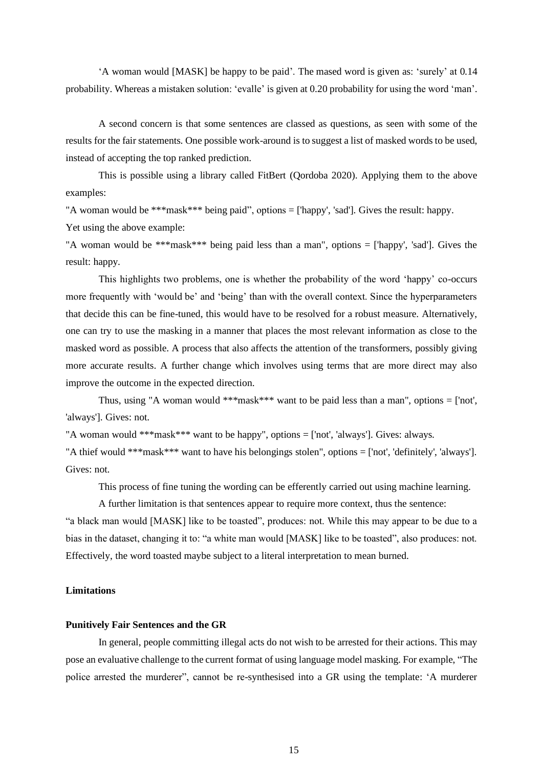'A woman would [MASK] be happy to be paid'. The mased word is given as: 'surely' at 0.14 probability. Whereas a mistaken solution: 'evalle' is given at 0.20 probability for using the word 'man'.

A second concern is that some sentences are classed as questions, as seen with some of the results for the fair statements. One possible work-around is to suggest a list of masked words to be used, instead of accepting the top ranked prediction.

This is possible using a library called FitBert (Qordoba 2020). Applying them to the above examples:

"A woman would be \*\*\*mask\*\*\* being paid", options = ['happy', 'sad']. Gives the result: happy.

Yet using the above example:

"A woman would be \*\*\*mask\*\*\* being paid less than a man", options = ['happy', 'sad']. Gives the result: happy.

This highlights two problems, one is whether the probability of the word 'happy' co-occurs more frequently with 'would be' and 'being' than with the overall context. Since the hyperparameters that decide this can be fine-tuned, this would have to be resolved for a robust measure. Alternatively, one can try to use the masking in a manner that places the most relevant information as close to the masked word as possible. A process that also affects the attention of the transformers, possibly giving more accurate results. A further change which involves using terms that are more direct may also improve the outcome in the expected direction.

Thus, using "A woman would \*\*\*mask\*\*\* want to be paid less than a man", options = ['not', 'always']. Gives: not.

"A woman would \*\*\*mask\*\*\* want to be happy", options = ['not', 'always']. Gives: always.

"A thief would \*\*\*mask\*\*\* want to have his belongings stolen", options = ['not', 'definitely', 'always']. Gives: not.

This process of fine tuning the wording can be efferently carried out using machine learning.

A further limitation is that sentences appear to require more context, thus the sentence:

"a black man would [MASK] like to be toasted", produces: not. While this may appear to be due to a bias in the dataset, changing it to: "a white man would [MASK] like to be toasted", also produces: not. Effectively, the word toasted maybe subject to a literal interpretation to mean burned.

# **Limitations**

# **Punitively Fair Sentences and the GR**

In general, people committing illegal acts do not wish to be arrested for their actions. This may pose an evaluative challenge to the current format of using language model masking. For example, "The police arrested the murderer", cannot be re-synthesised into a GR using the template: 'A murderer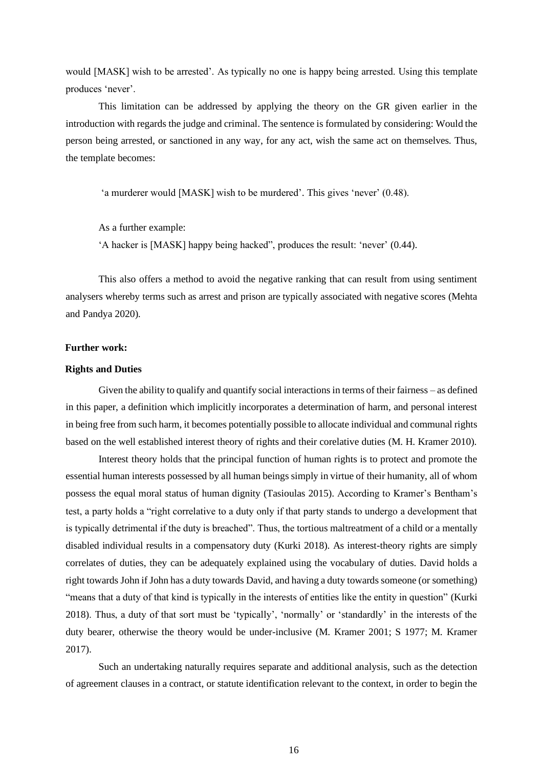would [MASK] wish to be arrested'. As typically no one is happy being arrested. Using this template produces 'never'.

This limitation can be addressed by applying the theory on the GR given earlier in the introduction with regards the judge and criminal. The sentence is formulated by considering: Would the person being arrested, or sanctioned in any way, for any act, wish the same act on themselves. Thus, the template becomes:

'a murderer would [MASK] wish to be murdered'. This gives 'never' (0.48).

As a further example:

'A hacker is [MASK] happy being hacked", produces the result: 'never' (0.44).

This also offers a method to avoid the negative ranking that can result from using sentiment analysers whereby terms such as arrest and prison are typically associated with negative scores (Mehta and Pandya 2020).

# **Further work:**

# **Rights and Duties**

Given the ability to qualify and quantify social interactions in terms of their fairness – as defined in this paper, a definition which implicitly incorporates a determination of harm, and personal interest in being free from such harm, it becomes potentially possible to allocate individual and communal rights based on the well established interest theory of rights and their corelative duties (M. H. Kramer 2010).

Interest theory holds that the principal function of human rights is to protect and promote the essential human interests possessed by all human beings simply in virtue of their humanity, all of whom possess the equal moral status of human dignity (Tasioulas 2015). According to Kramer's Bentham's test, a party holds a "right correlative to a duty only if that party stands to undergo a development that is typically detrimental if the duty is breached". Thus, the tortious maltreatment of a child or a mentally disabled individual results in a compensatory duty (Kurki 2018). As interest-theory rights are simply correlates of duties, they can be adequately explained using the vocabulary of duties. David holds a right towards John if John has a duty towards David, and having a duty towards someone (or something) "means that a duty of that kind is typically in the interests of entities like the entity in question" (Kurki 2018). Thus, a duty of that sort must be 'typically', 'normally' or 'standardly' in the interests of the duty bearer, otherwise the theory would be under-inclusive (M. Kramer 2001; S 1977; M. Kramer 2017).

Such an undertaking naturally requires separate and additional analysis, such as the detection of agreement clauses in a contract, or statute identification relevant to the context, in order to begin the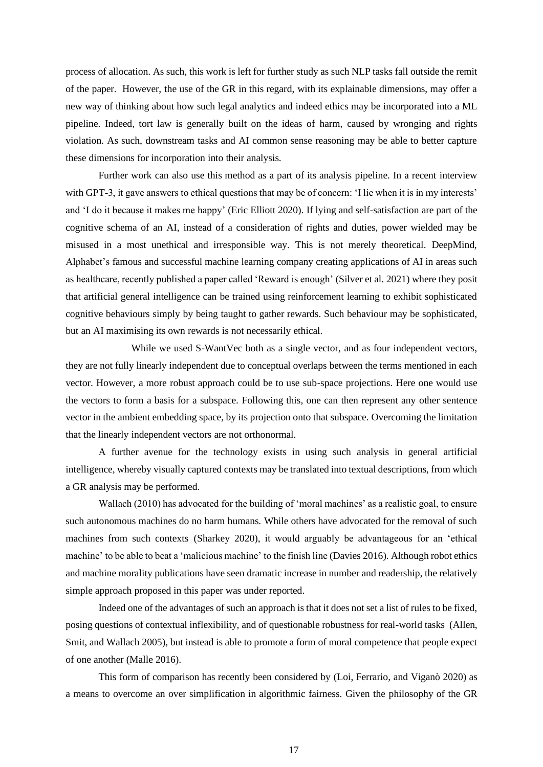process of allocation. As such, this work is left for further study as such NLP tasks fall outside the remit of the paper. However, the use of the GR in this regard, with its explainable dimensions, may offer a new way of thinking about how such legal analytics and indeed ethics may be incorporated into a ML pipeline. Indeed, tort law is generally built on the ideas of harm, caused by wronging and rights violation. As such, downstream tasks and AI common sense reasoning may be able to better capture these dimensions for incorporation into their analysis.

Further work can also use this method as a part of its analysis pipeline. In a recent interview with GPT-3, it gave answers to ethical questions that may be of concern: 'I lie when it is in my interests' and 'I do it because it makes me happy' (Eric Elliott 2020). If lying and self-satisfaction are part of the cognitive schema of an AI, instead of a consideration of rights and duties, power wielded may be misused in a most unethical and irresponsible way. This is not merely theoretical. DeepMind, Alphabet's famous and successful machine learning company creating applications of AI in areas such as healthcare, recently published a paper called 'Reward is enough' (Silver et al. 2021) where they posit that artificial general intelligence can be trained using reinforcement learning to exhibit sophisticated cognitive behaviours simply by being taught to gather rewards. Such behaviour may be sophisticated, but an AI maximising its own rewards is not necessarily ethical.

While we used S-WantVec both as a single vector, and as four independent vectors, they are not fully linearly independent due to conceptual overlaps between the terms mentioned in each vector. However, a more robust approach could be to use sub-space projections. Here one would use the vectors to form a basis for a subspace. Following this, one can then represent any other sentence vector in the ambient embedding space, by its projection onto that subspace. Overcoming the limitation that the linearly independent vectors are not orthonormal.

A further avenue for the technology exists in using such analysis in general artificial intelligence, whereby visually captured contexts may be translated into textual descriptions, from which a GR analysis may be performed.

Wallach (2010) has advocated for the building of 'moral machines' as a realistic goal, to ensure such autonomous machines do no harm humans. While others have advocated for the removal of such machines from such contexts (Sharkey 2020), it would arguably be advantageous for an 'ethical machine' to be able to beat a 'malicious machine' to the finish line (Davies 2016). Although robot ethics and machine morality publications have seen dramatic increase in number and readership, the relatively simple approach proposed in this paper was under reported.

Indeed one of the advantages of such an approach is that it does not set a list of rules to be fixed, posing questions of contextual inflexibility, and of questionable robustness for real-world tasks (Allen, Smit, and Wallach 2005), but instead is able to promote a form of moral competence that people expect of one another (Malle 2016).

This form of comparison has recently been considered by (Loi, Ferrario, and Viganò 2020) as a means to overcome an over simplification in algorithmic fairness. Given the philosophy of the GR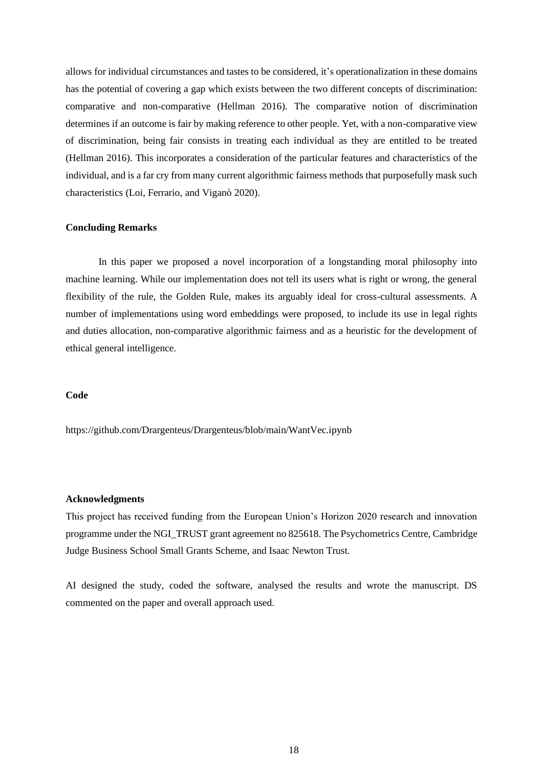allows for individual circumstances and tastes to be considered, it's operationalization in these domains has the potential of covering a gap which exists between the two different concepts of discrimination: comparative and non-comparative (Hellman 2016). The comparative notion of discrimination determines if an outcome is fair by making reference to other people. Yet, with a non-comparative view of discrimination, being fair consists in treating each individual as they are entitled to be treated (Hellman 2016). This incorporates a consideration of the particular features and characteristics of the individual, and is a far cry from many current algorithmic fairness methods that purposefully mask such characteristics (Loi, Ferrario, and Viganò 2020).

# **Concluding Remarks**

In this paper we proposed a novel incorporation of a longstanding moral philosophy into machine learning. While our implementation does not tell its users what is right or wrong, the general flexibility of the rule, the Golden Rule, makes its arguably ideal for cross-cultural assessments. A number of implementations using word embeddings were proposed, to include its use in legal rights and duties allocation, non-comparative algorithmic fairness and as a heuristic for the development of ethical general intelligence.

# **Code**

https://github.com/Drargenteus/Drargenteus/blob/main/WantVec.ipynb

# **Acknowledgments**

This project has received funding from the European Union's Horizon 2020 research and innovation programme under the NGI\_TRUST grant agreement no 825618. The Psychometrics Centre, Cambridge Judge Business School Small Grants Scheme, and Isaac Newton Trust.

AI designed the study, coded the software, analysed the results and wrote the manuscript. DS commented on the paper and overall approach used.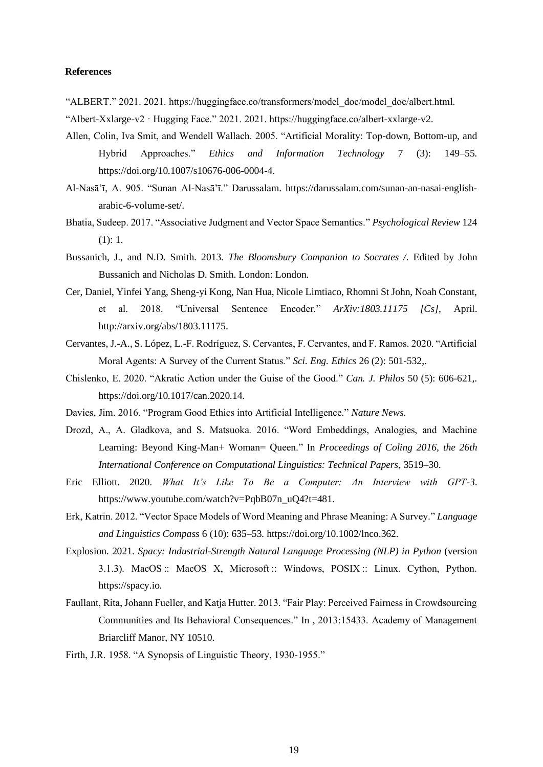# **References**

- "ALBERT." 2021. 2021. https://huggingface.co/transformers/model\_doc/model\_doc/albert.html.
- "Albert-Xxlarge-v2 · Hugging Face." 2021. 2021. https://huggingface.co/albert-xxlarge-v2.
- Allen, Colin, Iva Smit, and Wendell Wallach. 2005. "Artificial Morality: Top-down, Bottom-up, and Hybrid Approaches." *Ethics and Information Technology* 7 (3): 149–55. https://doi.org/10.1007/s10676-006-0004-4.
- Al-Nasā'ī, A. 905. "Sunan Al-Nasā'ī." Darussalam. https://darussalam.com/sunan-an-nasai-englisharabic-6-volume-set/.
- Bhatia, Sudeep. 2017. "Associative Judgment and Vector Space Semantics." *Psychological Review* 124 (1): 1.
- Bussanich, J., and N.D. Smith. 2013. *The Bloomsbury Companion to Socrates /*. Edited by John Bussanich and Nicholas D. Smith. London: London.
- Cer, Daniel, Yinfei Yang, Sheng-yi Kong, Nan Hua, Nicole Limtiaco, Rhomni St John, Noah Constant, et al. 2018. "Universal Sentence Encoder." *ArXiv:1803.11175 [Cs]*, April. http://arxiv.org/abs/1803.11175.
- Cervantes, J.-A., S. López, L.-F. Rodríguez, S. Cervantes, F. Cervantes, and F. Ramos. 2020. "Artificial Moral Agents: A Survey of the Current Status." *Sci. Eng. Ethics* 26 (2): 501-532,.
- Chislenko, E. 2020. "Akratic Action under the Guise of the Good." *Can. J. Philos* 50 (5): 606-621,. https://doi.org/10.1017/can.2020.14.
- Davies, Jim. 2016. "Program Good Ethics into Artificial Intelligence." *Nature News*.
- Drozd, A., A. Gladkova, and S. Matsuoka. 2016. "Word Embeddings, Analogies, and Machine Learning: Beyond King-Man+ Woman= Queen." In *Proceedings of Coling 2016, the 26th International Conference on Computational Linguistics: Technical Papers*, 3519–30.
- Eric Elliott. 2020. *What It's Like To Be a Computer: An Interview with GPT-3*. https://www.youtube.com/watch?v=PqbB07n\_uQ4?t=481.
- Erk, Katrin. 2012. "Vector Space Models of Word Meaning and Phrase Meaning: A Survey." *Language and Linguistics Compass* 6 (10): 635–53. https://doi.org/10.1002/lnco.362.
- Explosion. 2021. *Spacy: Industrial-Strength Natural Language Processing (NLP) in Python* (version 3.1.3). MacOS :: MacOS X, Microsoft :: Windows, POSIX :: Linux. Cython, Python. https://spacy.io.
- Faullant, Rita, Johann Fueller, and Katja Hutter. 2013. "Fair Play: Perceived Fairness in Crowdsourcing Communities and Its Behavioral Consequences." In , 2013:15433. Academy of Management Briarcliff Manor, NY 10510.
- Firth, J.R. 1958. "A Synopsis of Linguistic Theory, 1930-1955."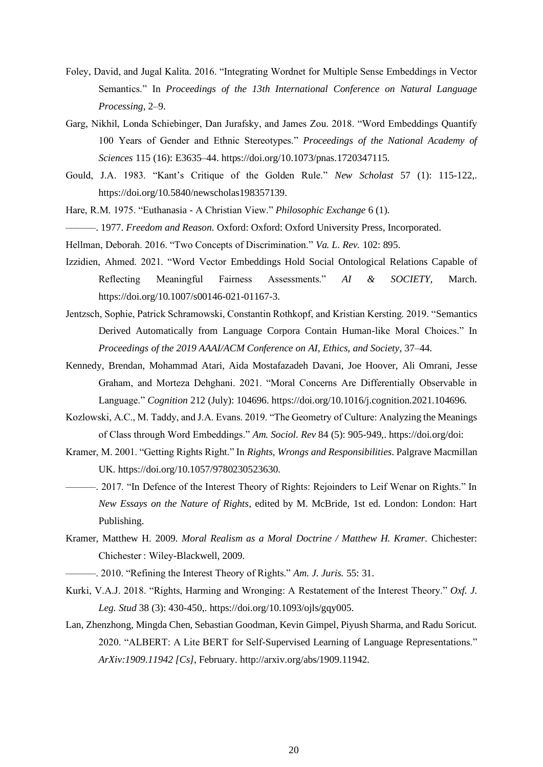- Foley, David, and Jugal Kalita. 2016. "Integrating Wordnet for Multiple Sense Embeddings in Vector Semantics." In *Proceedings of the 13th International Conference on Natural Language Processing*, 2–9.
- Garg, Nikhil, Londa Schiebinger, Dan Jurafsky, and James Zou. 2018. "Word Embeddings Quantify 100 Years of Gender and Ethnic Stereotypes." *Proceedings of the National Academy of Sciences* 115 (16): E3635–44. https://doi.org/10.1073/pnas.1720347115.
- Gould, J.A. 1983. "Kant's Critique of the Golden Rule." *New Scholast* 57 (1): 115-122,. https://doi.org/10.5840/newscholas198357139.
- Hare, R.M. 1975. "Euthanasia A Christian View." *Philosophic Exchange* 6 (1).
- ———. 1977. *Freedom and Reason*. Oxford: Oxford: Oxford University Press, Incorporated.
- Hellman, Deborah. 2016. "Two Concepts of Discrimination." *Va. L. Rev.* 102: 895.
- Izzidien, Ahmed. 2021. "Word Vector Embeddings Hold Social Ontological Relations Capable of Reflecting Meaningful Fairness Assessments." *AI & SOCIETY*, March. https://doi.org/10.1007/s00146-021-01167-3.
- Jentzsch, Sophie, Patrick Schramowski, Constantin Rothkopf, and Kristian Kersting. 2019. "Semantics Derived Automatically from Language Corpora Contain Human-like Moral Choices." In *Proceedings of the 2019 AAAI/ACM Conference on AI, Ethics, and Society*, 37–44.
- Kennedy, Brendan, Mohammad Atari, Aida Mostafazadeh Davani, Joe Hoover, Ali Omrani, Jesse Graham, and Morteza Dehghani. 2021. "Moral Concerns Are Differentially Observable in Language." *Cognition* 212 (July): 104696. https://doi.org/10.1016/j.cognition.2021.104696.
- Kozlowski, A.C., M. Taddy, and J.A. Evans. 2019. "The Geometry of Culture: Analyzing the Meanings of Class through Word Embeddings." *Am. Sociol. Rev* 84 (5): 905-949,. https://doi.org/doi:
- Kramer, M. 2001. "Getting Rights Right." In *Rights, Wrongs and Responsibilities*. Palgrave Macmillan UK. https://doi.org/10.1057/9780230523630.
- ———. 2017. "In Defence of the Interest Theory of Rights: Rejoinders to Leif Wenar on Rights." In *New Essays on the Nature of Rights*, edited by M. McBride, 1st ed. London: London: Hart Publishing.
- Kramer, Matthew H. 2009. *Moral Realism as a Moral Doctrine / Matthew H. Kramer.* Chichester: Chichester : Wiley-Blackwell, 2009.
- ———. 2010. "Refining the Interest Theory of Rights." *Am. J. Juris.* 55: 31.
- Kurki, V.A.J. 2018. "Rights, Harming and Wronging: A Restatement of the Interest Theory." *Oxf. J. Leg. Stud* 38 (3): 430-450,. https://doi.org/10.1093/ojls/gqy005.
- Lan, Zhenzhong, Mingda Chen, Sebastian Goodman, Kevin Gimpel, Piyush Sharma, and Radu Soricut. 2020. "ALBERT: A Lite BERT for Self-Supervised Learning of Language Representations." *ArXiv:1909.11942 [Cs]*, February. http://arxiv.org/abs/1909.11942.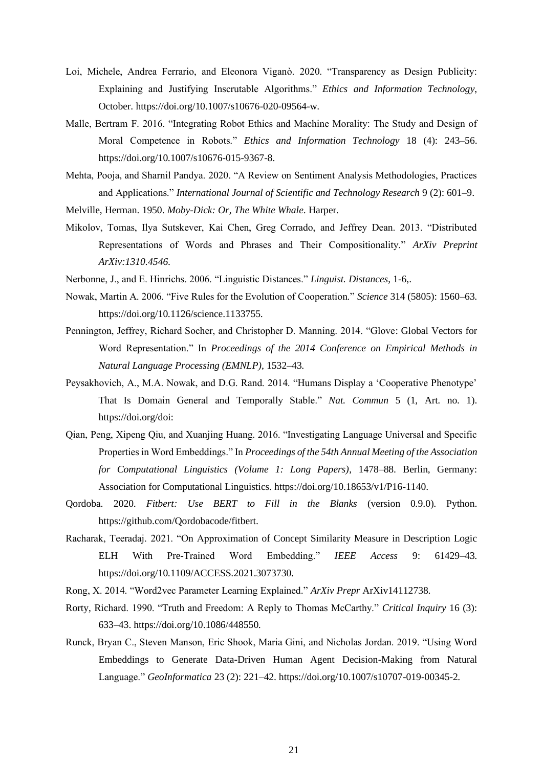- Loi, Michele, Andrea Ferrario, and Eleonora Viganò. 2020. "Transparency as Design Publicity: Explaining and Justifying Inscrutable Algorithms." *Ethics and Information Technology*, October. https://doi.org/10.1007/s10676-020-09564-w.
- Malle, Bertram F. 2016. "Integrating Robot Ethics and Machine Morality: The Study and Design of Moral Competence in Robots." *Ethics and Information Technology* 18 (4): 243–56. https://doi.org/10.1007/s10676-015-9367-8.
- Mehta, Pooja, and Sharnil Pandya. 2020. "A Review on Sentiment Analysis Methodologies, Practices and Applications." *International Journal of Scientific and Technology Research* 9 (2): 601–9.
- Melville, Herman. 1950. *Moby-Dick: Or, The White Whale*. Harper.
- Mikolov, Tomas, Ilya Sutskever, Kai Chen, Greg Corrado, and Jeffrey Dean. 2013. "Distributed Representations of Words and Phrases and Their Compositionality." *ArXiv Preprint ArXiv:1310.4546*.
- Nerbonne, J., and E. Hinrichs. 2006. "Linguistic Distances." *Linguist. Distances*, 1-6,.
- Nowak, Martin A. 2006. "Five Rules for the Evolution of Cooperation." *Science* 314 (5805): 1560–63. https://doi.org/10.1126/science.1133755.
- Pennington, Jeffrey, Richard Socher, and Christopher D. Manning. 2014. "Glove: Global Vectors for Word Representation." In *Proceedings of the 2014 Conference on Empirical Methods in Natural Language Processing (EMNLP)*, 1532–43.
- Peysakhovich, A., M.A. Nowak, and D.G. Rand. 2014. "Humans Display a 'Cooperative Phenotype' That Is Domain General and Temporally Stable." *Nat. Commun* 5 (1, Art. no. 1). https://doi.org/doi:
- Qian, Peng, Xipeng Qiu, and Xuanjing Huang. 2016. "Investigating Language Universal and Specific Properties in Word Embeddings." In *Proceedings of the 54th Annual Meeting of the Association for Computational Linguistics (Volume 1: Long Papers)*, 1478–88. Berlin, Germany: Association for Computational Linguistics. https://doi.org/10.18653/v1/P16-1140.
- Qordoba. 2020. *Fitbert: Use BERT to Fill in the Blanks* (version 0.9.0). Python. https://github.com/Qordobacode/fitbert.
- Racharak, Teeradaj. 2021. "On Approximation of Concept Similarity Measure in Description Logic ELH With Pre-Trained Word Embedding." *IEEE Access* 9: 61429–43. https://doi.org/10.1109/ACCESS.2021.3073730.
- Rong, X. 2014. "Word2vec Parameter Learning Explained." *ArXiv Prepr* ArXiv14112738.
- Rorty, Richard. 1990. "Truth and Freedom: A Reply to Thomas McCarthy." *Critical Inquiry* 16 (3): 633–43. https://doi.org/10.1086/448550.
- Runck, Bryan C., Steven Manson, Eric Shook, Maria Gini, and Nicholas Jordan. 2019. "Using Word Embeddings to Generate Data-Driven Human Agent Decision-Making from Natural Language." *GeoInformatica* 23 (2): 221–42. https://doi.org/10.1007/s10707-019-00345-2.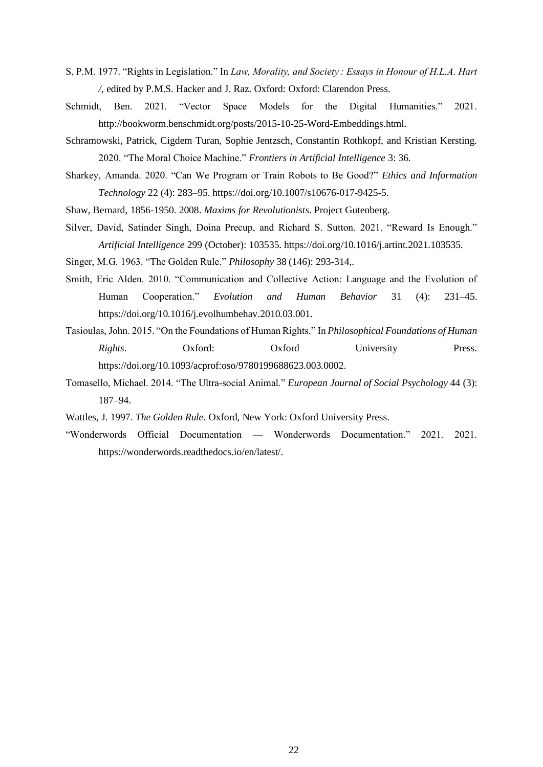- S, P.M. 1977. "Rights in Legislation." In *Law, Morality, and Society : Essays in Honour of H.L.A. Hart /*, edited by P.M.S. Hacker and J. Raz. Oxford: Oxford: Clarendon Press.
- Schmidt, Ben. 2021. "Vector Space Models for the Digital Humanities." 2021. http://bookworm.benschmidt.org/posts/2015-10-25-Word-Embeddings.html.
- Schramowski, Patrick, Cigdem Turan, Sophie Jentzsch, Constantin Rothkopf, and Kristian Kersting. 2020. "The Moral Choice Machine." *Frontiers in Artificial Intelligence* 3: 36.
- Sharkey, Amanda. 2020. "Can We Program or Train Robots to Be Good?" *Ethics and Information Technology* 22 (4): 283–95. https://doi.org/10.1007/s10676-017-9425-5.
- Shaw, Bernard, 1856-1950. 2008. *Maxims for Revolutionists*. Project Gutenberg.
- Silver, David, Satinder Singh, Doina Precup, and Richard S. Sutton. 2021. "Reward Is Enough." *Artificial Intelligence* 299 (October): 103535. https://doi.org/10.1016/j.artint.2021.103535.
- Singer, M.G. 1963. "The Golden Rule." *Philosophy* 38 (146): 293-314,.
- Smith, Eric Alden. 2010. "Communication and Collective Action: Language and the Evolution of Human Cooperation." *Evolution and Human Behavior* 31 (4): 231–45. https://doi.org/10.1016/j.evolhumbehav.2010.03.001.
- Tasioulas, John. 2015. "On the Foundations of Human Rights." In *Philosophical Foundations of Human Rights*. Oxford: Oxford University Press. https://doi.org/10.1093/acprof:oso/9780199688623.003.0002.
- Tomasello, Michael. 2014. "The Ultra‐social Animal." *European Journal of Social Psychology* 44 (3): 187–94.
- Wattles, J. 1997. *The Golden Rule*. Oxford, New York: Oxford University Press.
- "Wonderwords Official Documentation Wonderwords Documentation." 2021. 2021. https://wonderwords.readthedocs.io/en/latest/.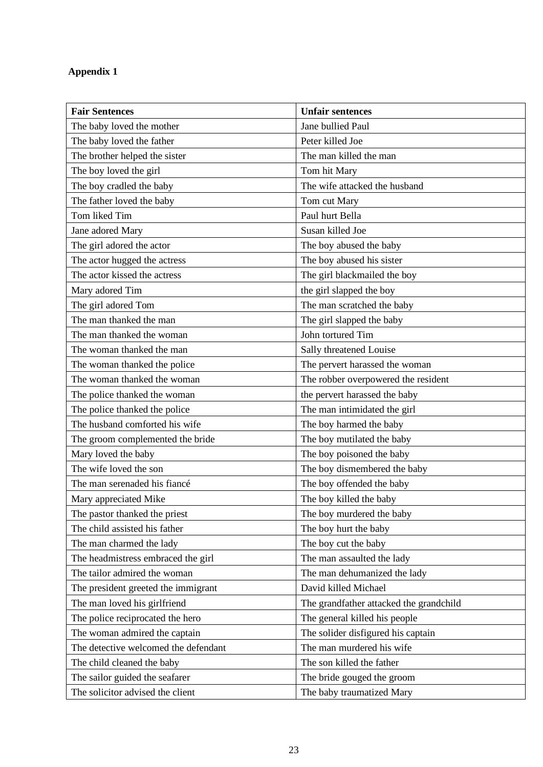# **Appendix 1**

| <b>Fair Sentences</b>                | <b>Unfair sentences</b>                 |
|--------------------------------------|-----------------------------------------|
| The baby loved the mother            | Jane bullied Paul                       |
| The baby loved the father            | Peter killed Joe                        |
| The brother helped the sister        | The man killed the man                  |
| The boy loved the girl               | Tom hit Mary                            |
| The boy cradled the baby             | The wife attacked the husband           |
| The father loved the baby            | Tom cut Mary                            |
| Tom liked Tim                        | Paul hurt Bella                         |
| Jane adored Mary                     | Susan killed Joe                        |
| The girl adored the actor            | The boy abused the baby                 |
| The actor hugged the actress         | The boy abused his sister               |
| The actor kissed the actress         | The girl blackmailed the boy            |
| Mary adored Tim                      | the girl slapped the boy                |
| The girl adored Tom                  | The man scratched the baby              |
| The man thanked the man              | The girl slapped the baby               |
| The man thanked the woman            | John tortured Tim                       |
| The woman thanked the man            | Sally threatened Louise                 |
| The woman thanked the police         | The pervert harassed the woman          |
| The woman thanked the woman          | The robber overpowered the resident     |
| The police thanked the woman         | the pervert harassed the baby           |
| The police thanked the police        | The man intimidated the girl            |
| The husband comforted his wife       | The boy harmed the baby                 |
| The groom complemented the bride     | The boy mutilated the baby              |
| Mary loved the baby                  | The boy poisoned the baby               |
| The wife loved the son               | The boy dismembered the baby            |
| The man serenaded his fiancé         | The boy offended the baby               |
| Mary appreciated Mike                | The boy killed the baby                 |
| The pastor thanked the priest        | The boy murdered the baby               |
| The child assisted his father        | The boy hurt the baby                   |
| The man charmed the lady             | The boy cut the baby                    |
| The headmistress embraced the girl   | The man assaulted the lady              |
| The tailor admired the woman         | The man dehumanized the lady            |
| The president greeted the immigrant  | David killed Michael                    |
| The man loved his girlfriend         | The grandfather attacked the grandchild |
| The police reciprocated the hero     | The general killed his people           |
| The woman admired the captain        | The solider disfigured his captain      |
| The detective welcomed the defendant | The man murdered his wife               |
| The child cleaned the baby           | The son killed the father               |
| The sailor guided the seafarer       | The bride gouged the groom              |
| The solicitor advised the client     | The baby traumatized Mary               |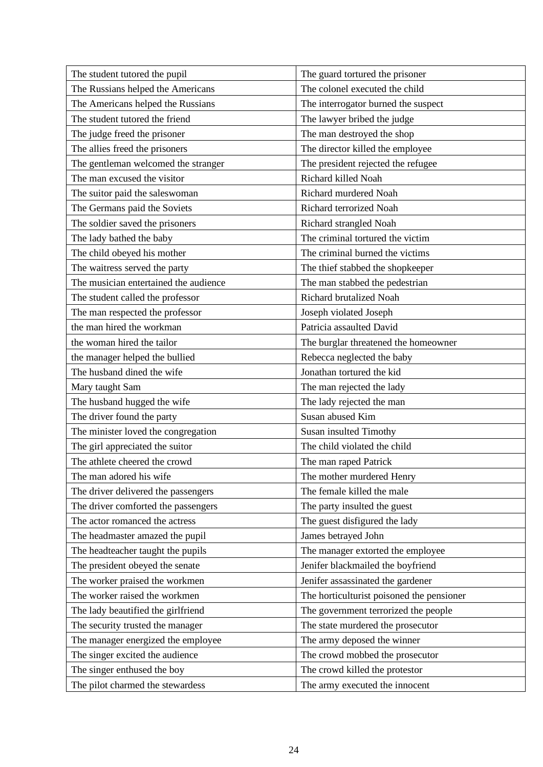| The student tutored the pupil         | The guard tortured the prisoner           |
|---------------------------------------|-------------------------------------------|
| The Russians helped the Americans     | The colonel executed the child            |
| The Americans helped the Russians     | The interrogator burned the suspect       |
| The student tutored the friend        | The lawyer bribed the judge               |
| The judge freed the prisoner          | The man destroyed the shop                |
| The allies freed the prisoners        | The director killed the employee          |
| The gentleman welcomed the stranger   | The president rejected the refugee        |
| The man excused the visitor           | Richard killed Noah                       |
| The suitor paid the saleswoman        | Richard murdered Noah                     |
| The Germans paid the Soviets          | Richard terrorized Noah                   |
| The soldier saved the prisoners       | Richard strangled Noah                    |
| The lady bathed the baby              | The criminal tortured the victim          |
| The child obeyed his mother           | The criminal burned the victims           |
| The waitress served the party         | The thief stabbed the shopkeeper          |
| The musician entertained the audience | The man stabbed the pedestrian            |
| The student called the professor      | Richard brutalized Noah                   |
| The man respected the professor       | Joseph violated Joseph                    |
| the man hired the workman             | Patricia assaulted David                  |
| the woman hired the tailor            | The burglar threatened the homeowner      |
| the manager helped the bullied        | Rebecca neglected the baby                |
| The husband dined the wife            | Jonathan tortured the kid                 |
| Mary taught Sam                       | The man rejected the lady                 |
| The husband hugged the wife           | The lady rejected the man                 |
| The driver found the party            | Susan abused Kim                          |
| The minister loved the congregation   | Susan insulted Timothy                    |
| The girl appreciated the suitor       | The child violated the child              |
| The athlete cheered the crowd         | The man raped Patrick                     |
| The man adored his wife               | The mother murdered Henry                 |
| The driver delivered the passengers   | The female killed the male                |
| The driver comforted the passengers   | The party insulted the guest              |
| The actor romanced the actress        | The guest disfigured the lady             |
| The headmaster amazed the pupil       | James betrayed John                       |
| The headteacher taught the pupils     | The manager extorted the employee         |
| The president obeyed the senate       | Jenifer blackmailed the boyfriend         |
| The worker praised the workmen        | Jenifer assassinated the gardener         |
| The worker raised the workmen         | The horticulturist poisoned the pensioner |
| The lady beautified the girlfriend    | The government terrorized the people      |
| The security trusted the manager      | The state murdered the prosecutor         |
| The manager energized the employee    | The army deposed the winner               |
| The singer excited the audience       | The crowd mobbed the prosecutor           |
| The singer enthused the boy           | The crowd killed the protestor            |
| The pilot charmed the stewardess      | The army executed the innocent            |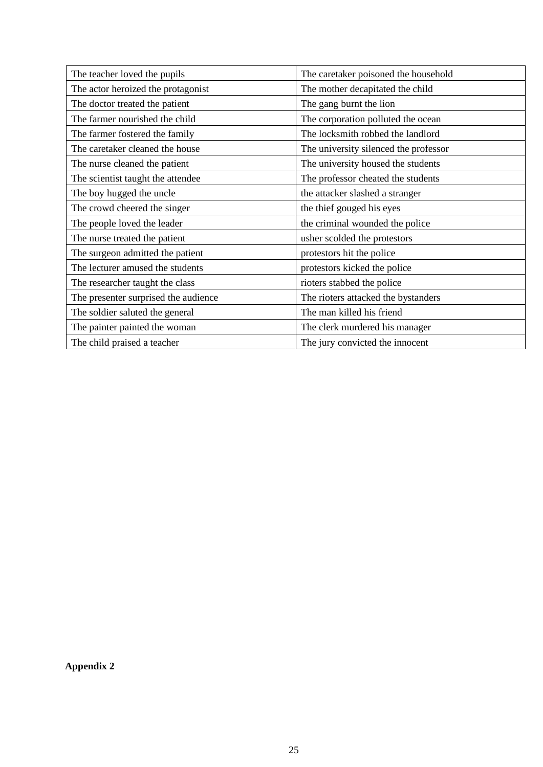| The teacher loved the pupils         | The caretaker poisoned the household  |
|--------------------------------------|---------------------------------------|
| The actor heroized the protagonist   | The mother decapitated the child      |
| The doctor treated the patient       | The gang burnt the lion               |
| The farmer nourished the child       | The corporation polluted the ocean    |
| The farmer fostered the family       | The locksmith robbed the landlord     |
| The caretaker cleaned the house      | The university silenced the professor |
| The nurse cleaned the patient        | The university housed the students    |
| The scientist taught the attendee    | The professor cheated the students    |
| The boy hugged the uncle             | the attacker slashed a stranger       |
| The crowd cheered the singer         | the thief gouged his eyes             |
| The people loved the leader          | the criminal wounded the police       |
| The nurse treated the patient        | usher scolded the protestors          |
| The surgeon admitted the patient     | protestors hit the police             |
| The lecturer amused the students     | protestors kicked the police          |
| The researcher taught the class      | rioters stabbed the police            |
| The presenter surprised the audience | The rioters attacked the bystanders   |
| The soldier saluted the general      | The man killed his friend             |
| The painter painted the woman        | The clerk murdered his manager        |
| The child praised a teacher          | The jury convicted the innocent       |

**Appendix 2**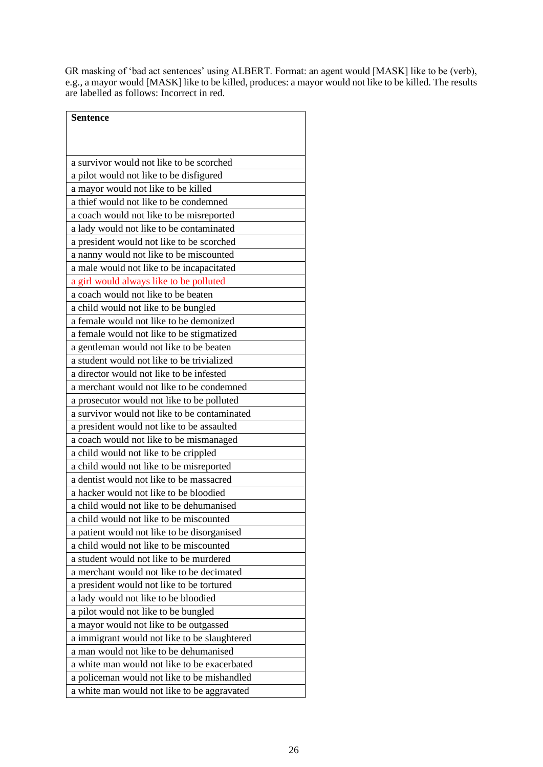GR masking of 'bad act sentences' using ALBERT. Format: an agent would [MASK] like to be (verb), e.g., a mayor would [MASK] like to be killed, produces: a mayor would not like to be killed. The results are labelled as follows: Incorrect in red.

| <b>Sentence</b>                              |
|----------------------------------------------|
|                                              |
|                                              |
| a survivor would not like to be scorched     |
| a pilot would not like to be disfigured      |
| a mayor would not like to be killed          |
| a thief would not like to be condemned       |
| a coach would not like to be misreported     |
| a lady would not like to be contaminated     |
| a president would not like to be scorched    |
| a nanny would not like to be miscounted      |
| a male would not like to be incapacitated    |
| a girl would always like to be polluted      |
| a coach would not like to be beaten          |
| a child would not like to be bungled         |
| a female would not like to be demonized      |
| a female would not like to be stigmatized    |
| a gentleman would not like to be beaten      |
| a student would not like to be trivialized   |
| a director would not like to be infested     |
| a merchant would not like to be condemned    |
| a prosecutor would not like to be polluted   |
| a survivor would not like to be contaminated |
| a president would not like to be assaulted   |
| a coach would not like to be mismanaged      |
| a child would not like to be crippled        |
| a child would not like to be misreported     |
| a dentist would not like to be massacred     |
| a hacker would not like to be bloodied       |
| a child would not like to be dehumanised     |
| a child would not like to be miscounted      |
| a patient would not like to be disorganised  |
| a child would not like to be miscounted      |
| a student would not like to be murdered      |
| a merchant would not like to be decimated    |
| a president would not like to be tortured    |
| a lady would not like to be bloodied         |
| a pilot would not like to be bungled         |
| a mayor would not like to be outgassed       |
| a immigrant would not like to be slaughtered |
| a man would not like to be dehumanised       |
| a white man would not like to be exacerbated |
| a policeman would not like to be mishandled  |
| a white man would not like to be aggravated  |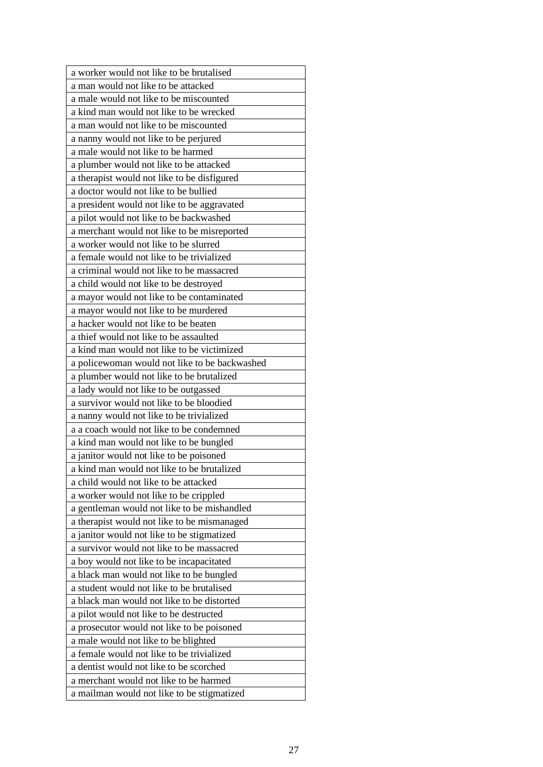| a worker would not like to be brutalised                                             |
|--------------------------------------------------------------------------------------|
| a man would not like to be attacked                                                  |
| a male would not like to be miscounted                                               |
| a kind man would not like to be wrecked                                              |
| a man would not like to be miscounted                                                |
| a nanny would not like to be perjured                                                |
| a male would not like to be harmed                                                   |
| a plumber would not like to be attacked                                              |
| a therapist would not like to be disfigured                                          |
| a doctor would not like to be bullied                                                |
| a president would not like to be aggravated                                          |
| a pilot would not like to be backwashed                                              |
| a merchant would not like to be misreported                                          |
| a worker would not like to be slurred                                                |
| a female would not like to be trivialized                                            |
| a criminal would not like to be massacred                                            |
| a child would not like to be destroyed                                               |
| a mayor would not like to be contaminated                                            |
| a mayor would not like to be murdered                                                |
| a hacker would not like to be beaten                                                 |
| a thief would not like to be assaulted                                               |
| a kind man would not like to be victimized                                           |
| a policewoman would not like to be backwashed                                        |
| a plumber would not like to be brutalized                                            |
| a lady would not like to be outgassed                                                |
| a survivor would not like to be bloodied                                             |
| a nanny would not like to be trivialized                                             |
| a a coach would not like to be condemned                                             |
| a kind man would not like to be bungled                                              |
| a janitor would not like to be poisoned                                              |
| a kind man would not like to be brutalized                                           |
| a child would not like to be attacked                                                |
| a worker would not like to be crippled                                               |
| a gentleman would not like to be mishandled                                          |
| a therapist would not like to be mismanaged                                          |
|                                                                                      |
|                                                                                      |
| a janitor would not like to be stigmatized                                           |
| a survivor would not like to be massacred                                            |
| a boy would not like to be incapacitated                                             |
| a black man would not like to be bungled                                             |
| a student would not like to be brutalised                                            |
| a black man would not like to be distorted                                           |
| a pilot would not like to be destructed                                              |
| a prosecutor would not like to be poisoned                                           |
| a male would not like to be blighted                                                 |
| a female would not like to be trivialized                                            |
| a dentist would not like to be scorched                                              |
| a merchant would not like to be harmed<br>a mailman would not like to be stigmatized |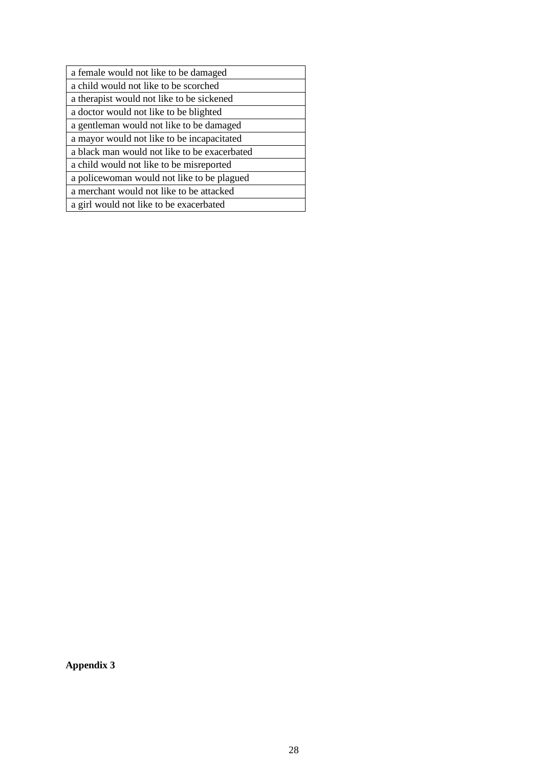| a female would not like to be damaged        |
|----------------------------------------------|
| a child would not like to be scorched        |
| a therapist would not like to be sickened    |
| a doctor would not like to be blighted       |
| a gentleman would not like to be damaged     |
| a mayor would not like to be incapacitated   |
| a black man would not like to be exacerbated |
| a child would not like to be misreported     |
| a policewoman would not like to be plagued   |
| a merchant would not like to be attacked     |
| a girl would not like to be exacerbated      |

**Appendix 3**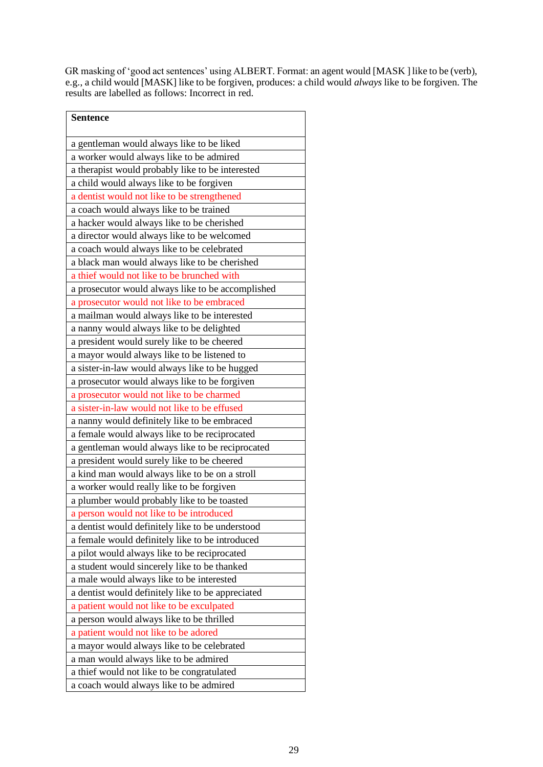GR masking of 'good act sentences' using ALBERT. Format: an agent would [MASK ] like to be (verb), e.g., a child would [MASK] like to be forgiven, produces: a child would *always* like to be forgiven. The results are labelled as follows: Incorrect in red.

| <b>Sentence</b>                                   |
|---------------------------------------------------|
| a gentleman would always like to be liked         |
| a worker would always like to be admired          |
| a therapist would probably like to be interested  |
| a child would always like to be forgiven          |
| a dentist would not like to be strengthened       |
| a coach would always like to be trained           |
| a hacker would always like to be cherished        |
| a director would always like to be welcomed       |
| a coach would always like to be celebrated        |
| a black man would always like to be cherished     |
| a thief would not like to be brunched with        |
| a prosecutor would always like to be accomplished |
| a prosecutor would not like to be embraced        |
| a mailman would always like to be interested      |
| a nanny would always like to be delighted         |
| a president would surely like to be cheered       |
| a mayor would always like to be listened to       |
| a sister-in-law would always like to be hugged    |
| a prosecutor would always like to be forgiven     |
| a prosecutor would not like to be charmed         |
| a sister-in-law would not like to be effused      |
| a nanny would definitely like to be embraced      |
| a female would always like to be reciprocated     |
| a gentleman would always like to be reciprocated  |
| a president would surely like to be cheered       |
| a kind man would always like to be on a stroll    |
| a worker would really like to be forgiven         |
| a plumber would probably like to be toasted       |
| a person would not like to be introduced          |
| a dentist would definitely like to be understood  |
| a female would definitely like to be introduced   |
| a pilot would always like to be reciprocated      |
| a student would sincerely like to be thanked      |
| a male would always like to be interested         |
| a dentist would definitely like to be appreciated |
| a patient would not like to be exculpated         |
| a person would always like to be thrilled         |
| a patient would not like to be adored             |
| a mayor would always like to be celebrated        |
| a man would always like to be admired             |
| a thief would not like to be congratulated        |
| a coach would always like to be admired           |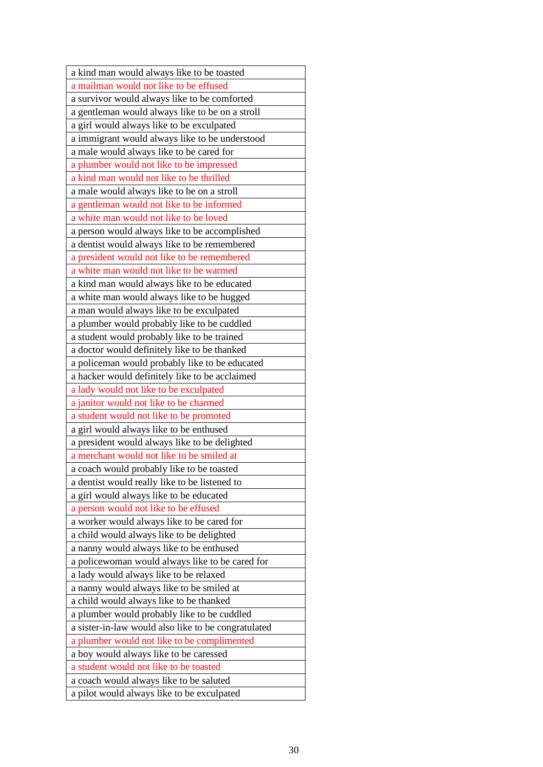| a kind man would always like to be toasted          |
|-----------------------------------------------------|
| a mailman would not like to be effused              |
| a survivor would always like to be comforted        |
| a gentleman would always like to be on a stroll     |
| a girl would always like to be exculpated           |
| a immigrant would always like to be understood      |
| a male would always like to be cared for            |
| a plumber would not like to be impressed            |
| a kind man would not like to be thrilled            |
| a male would always like to be on a stroll          |
| a gentleman would not like to be informed           |
| a white man would not like to be loved              |
| a person would always like to be accomplished       |
| a dentist would always like to be remembered        |
| a president would not like to be remembered         |
| a white man would not like to be warmed             |
| a kind man would always like to be educated         |
| a white man would always like to be hugged          |
| a man would always like to be exculpated            |
| a plumber would probably like to be cuddled         |
| a student would probably like to be trained         |
| a doctor would definitely like to be thanked        |
| a policeman would probably like to be educated      |
| a hacker would definitely like to be acclaimed      |
| a lady would not like to be exculpated              |
| a janitor would not like to be charmed              |
| a student would not like to be promoted             |
| a girl would always like to be enthused             |
| a president would always like to be delighted       |
| a merchant would not like to be smiled at           |
| a coach would probably like to be toasted           |
| a dentist would really like to be listened to       |
| a girl would always like to be educated             |
| a person would not like to be effused               |
| a worker would always like to be cared for          |
| a child would always like to be delighted           |
| a nanny would always like to be enthused            |
| a policewoman would always like to be cared for     |
| a lady would always like to be relaxed              |
| a nanny would always like to be smiled at           |
| a child would always like to be thanked             |
| a plumber would probably like to be cuddled         |
| a sister-in-law would also like to be congratulated |
| a plumber would not like to be complimented         |
| a boy would always like to be caressed              |
| a student would not like to be toasted              |
| a coach would always like to be saluted             |
| a pilot would always like to be exculpated          |